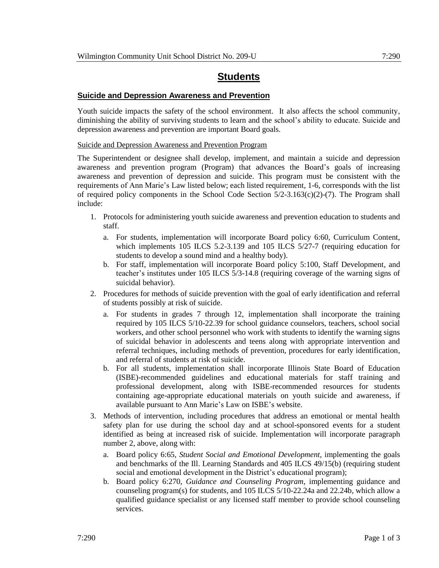# **Students**

## **Suicide and Depression Awareness and Prevention**

Youth suicide impacts the safety of the school environment. It also affects the school community, diminishing the ability of surviving students to learn and the school's ability to educate. Suicide and depression awareness and prevention are important Board goals.

## Suicide and Depression Awareness and Prevention Program

The Superintendent or designee shall develop, implement, and maintain a suicide and depression awareness and prevention program (Program) that advances the Board's goals of increasing awareness and prevention of depression and suicide. This program must be consistent with the requirements of Ann Marie's Law listed below; each listed requirement, 1-6, corresponds with the list of required policy components in the School Code Section 5/2-3.163(c)(2)-(7). The Program shall include:

- 1. Protocols for administering youth suicide awareness and prevention education to students and staff.
	- a. For students, implementation will incorporate Board policy 6:60, Curriculum Content, which implements 105 ILCS 5.2-3.139 and 105 ILCS 5/27-7 (requiring education for students to develop a sound mind and a healthy body).
	- b. For staff, implementation will incorporate Board policy 5:100, Staff Development, and teacher's institutes under 105 ILCS 5/3-14.8 (requiring coverage of the warning signs of suicidal behavior).
- 2. Procedures for methods of suicide prevention with the goal of early identification and referral of students possibly at risk of suicide.
	- a. For students in grades 7 through 12, implementation shall incorporate the training required by 105 ILCS 5/10-22.39 for school guidance counselors, teachers, school social workers, and other school personnel who work with students to identify the warning signs of suicidal behavior in adolescents and teens along with appropriate intervention and referral techniques, including methods of prevention, procedures for early identification, and referral of students at risk of suicide.
	- b. For all students, implementation shall incorporate Illinois State Board of Education (ISBE)-recommended guidelines and educational materials for staff training and professional development, along with ISBE-recommended resources for students containing age-appropriate educational materials on youth suicide and awareness, if available pursuant to Ann Marie's Law on ISBE's website.
- 3. Methods of intervention, including procedures that address an emotional or mental health safety plan for use during the school day and at school-sponsored events for a student identified as being at increased risk of suicide. Implementation will incorporate paragraph number 2, above, along with:
	- a. Board policy 6:65, *Student Social and Emotional Development*, implementing the goals and benchmarks of the Ill. Learning Standards and 405 ILCS 49/15(b) (requiring student social and emotional development in the District's educational program);
	- b. Board policy 6:270, *Guidance and Counseling Program*, implementing guidance and counseling program(s) for students, and 105 ILCS 5/10-22.24a and 22.24b, which allow a qualified guidance specialist or any licensed staff member to provide school counseling services.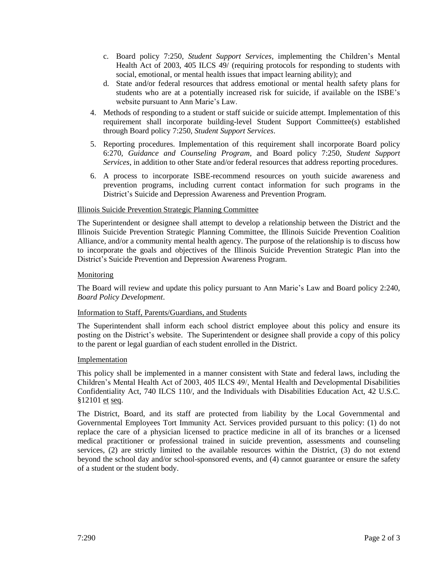- c. Board policy 7:250, *Student Support Services*, implementing the Children's Mental Health Act of 2003, 405 ILCS 49/ (requiring protocols for responding to students with social, emotional, or mental health issues that impact learning ability); and
- d. State and/or federal resources that address emotional or mental health safety plans for students who are at a potentially increased risk for suicide, if available on the ISBE's website pursuant to Ann Marie's Law.
- 4. Methods of responding to a student or staff suicide or suicide attempt. Implementation of this requirement shall incorporate building-level Student Support Committee(s) established through Board policy 7:250, *Student Support Services*.
- 5. Reporting procedures. Implementation of this requirement shall incorporate Board policy 6:270, *Guidance and Counseling Program,* and Board policy 7:250, *Student Support Services*, in addition to other State and/or federal resources that address reporting procedures.
- 6. A process to incorporate ISBE-recommend resources on youth suicide awareness and prevention programs, including current contact information for such programs in the District's Suicide and Depression Awareness and Prevention Program.

## Illinois Suicide Prevention Strategic Planning Committee

The Superintendent or designee shall attempt to develop a relationship between the District and the Illinois Suicide Prevention Strategic Planning Committee, the Illinois Suicide Prevention Coalition Alliance, and/or a community mental health agency. The purpose of the relationship is to discuss how to incorporate the goals and objectives of the Illinois Suicide Prevention Strategic Plan into the District's Suicide Prevention and Depression Awareness Program.

## **Monitoring**

The Board will review and update this policy pursuant to Ann Marie's Law and Board policy 2:240, *Board Policy Development*.

## Information to Staff, Parents/Guardians, and Students

The Superintendent shall inform each school district employee about this policy and ensure its posting on the District's website. The Superintendent or designee shall provide a copy of this policy to the parent or legal guardian of each student enrolled in the District.

## Implementation

This policy shall be implemented in a manner consistent with State and federal laws, including the Children's Mental Health Act of 2003, 405 ILCS 49/, Mental Health and Developmental Disabilities Confidentiality Act, 740 ILCS 110/, and the Individuals with Disabilities Education Act, 42 U.S.C. §12101 et seq.

The District, Board, and its staff are protected from liability by the Local Governmental and Governmental Employees Tort Immunity Act. Services provided pursuant to this policy: (1) do not replace the care of a physician licensed to practice medicine in all of its branches or a licensed medical practitioner or professional trained in suicide prevention, assessments and counseling services, (2) are strictly limited to the available resources within the District, (3) do not extend beyond the school day and/or school-sponsored events, and (4) cannot guarantee or ensure the safety of a student or the student body.